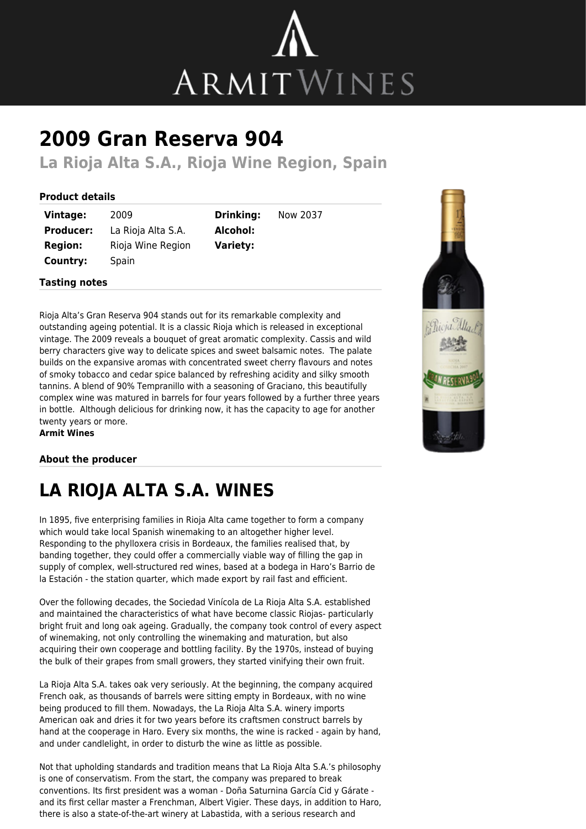

# **2009 Gran Reserva 904**

**La Rioja Alta S.A., Rioja Wine Region, Spain**

## **Product details**

| Vintage:         | 2009               |
|------------------|--------------------|
| <b>Producer:</b> | La Rioja Alta S.A. |
| <b>Region:</b>   | Rioja Wine Region  |
| Country:         | Spain              |

**Drinking:** Now 2037 **Alcohol: Variety:**

#### **Tasting notes**

Rioja Alta's Gran Reserva 904 stands out for its remarkable complexity and outstanding ageing potential. It is a classic Rioja which is released in exceptional vintage. The 2009 reveals a bouquet of great aromatic complexity. Cassis and wild berry characters give way to delicate spices and sweet balsamic notes. The palate builds on the expansive aromas with concentrated sweet cherry flavours and notes of smoky tobacco and cedar spice balanced by refreshing acidity and silky smooth tannins. A blend of 90% Tempranillo with a seasoning of Graciano, this beautifully complex wine was matured in barrels for four years followed by a further three years in bottle. Although delicious for drinking now, it has the capacity to age for another twenty years or more. **Armit Wines**



### **About the producer**

# **LA RIOJA ALTA S.A. WINES**

In 1895, five enterprising families in Rioja Alta came together to form a company which would take local Spanish winemaking to an altogether higher level. Responding to the phylloxera crisis in Bordeaux, the families realised that, by banding together, they could offer a commercially viable way of filling the gap in supply of complex, well-structured red wines, based at a bodega in Haro's Barrio de la Estación - the station quarter, which made export by rail fast and efficient.

Over the following decades, the Sociedad Vinícola de La Rioja Alta S.A. established and maintained the characteristics of what have become classic Riojas- particularly bright fruit and long oak ageing. Gradually, the company took control of every aspect of winemaking, not only controlling the winemaking and maturation, but also acquiring their own cooperage and bottling facility. By the 1970s, instead of buying the bulk of their grapes from small growers, they started vinifying their own fruit.

La Rioja Alta S.A. takes oak very seriously. At the beginning, the company acquired French oak, as thousands of barrels were sitting empty in Bordeaux, with no wine being produced to fill them. Nowadays, the La Rioja Alta S.A. winery imports American oak and dries it for two years before its craftsmen construct barrels by hand at the cooperage in Haro. Every six months, the wine is racked - again by hand, and under candlelight, in order to disturb the wine as little as possible.

Not that upholding standards and tradition means that La Rioja Alta S.A.'s philosophy is one of conservatism. From the start, the company was prepared to break conventions. Its first president was a woman - Doña Saturnina García Cid y Gárate and its first cellar master a Frenchman, Albert Vigier. These days, in addition to Haro, there is also a state-of-the-art winery at Labastida, with a serious research and